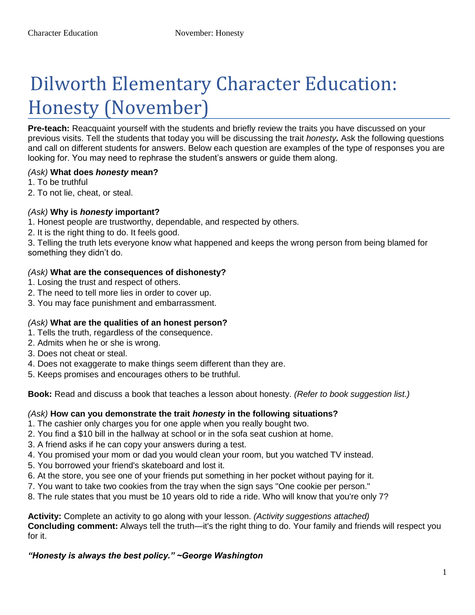# Dilworth Elementary Character Education: Honesty (November)

**Pre-teach:** Reacquaint yourself with the students and briefly review the traits you have discussed on your previous visits. Tell the students that today you will be discussing the trait *honesty.* Ask the following questions and call on different students for answers. Below each question are examples of the type of responses you are looking for. You may need to rephrase the student's answers or guide them along.

#### *(Ask)* **What does** *honesty* **mean?**

- 1. To be truthful
- 2. To not lie, cheat, or steal.

#### *(Ask)* **Why is** *honesty* **important?**

- 1. Honest people are trustworthy, dependable, and respected by others.
- 2. It is the right thing to do. It feels good.

3. Telling the truth lets everyone know what happened and keeps the wrong person from being blamed for something they didn't do.

#### *(Ask)* **What are the consequences of dishonesty?**

- 1. Losing the trust and respect of others.
- 2. The need to tell more lies in order to cover up.
- 3. You may face punishment and embarrassment.

#### *(Ask)* **What are the qualities of an honest person?**

- 1. Tells the truth, regardless of the consequence.
- 2. Admits when he or she is wrong.
- 3. Does not cheat or steal.
- 4. Does not exaggerate to make things seem different than they are.
- 5. Keeps promises and encourages others to be truthful.

**Book:** Read and discuss a book that teaches a lesson about honesty. *(Refer to book suggestion list.)* 

#### *(Ask)* **How can you demonstrate the trait** *honesty* **in the following situations?**

- 1. The cashier only charges you for one apple when you really bought two.
- 2. You find a \$10 bill in the hallway at school or in the sofa seat cushion at home.
- 3. A friend asks if he can copy your answers during a test.
- 4. You promised your mom or dad you would clean your room, but you watched TV instead.
- 5. You borrowed your friend's skateboard and lost it.
- 6. At the store, you see one of your friends put something in her pocket without paying for it.
- 7. You want to take two cookies from the tray when the sign says "One cookie per person."
- 8. The rule states that you must be 10 years old to ride a ride. Who will know that you're only 7?

**Activity:** Complete an activity to go along with your lesson. *(Activity suggestions attached)*  **Concluding comment:** Always tell the truth—it's the right thing to do. Your family and friends will respect you for it.

#### *"Honesty is always the best policy." ~George Washington*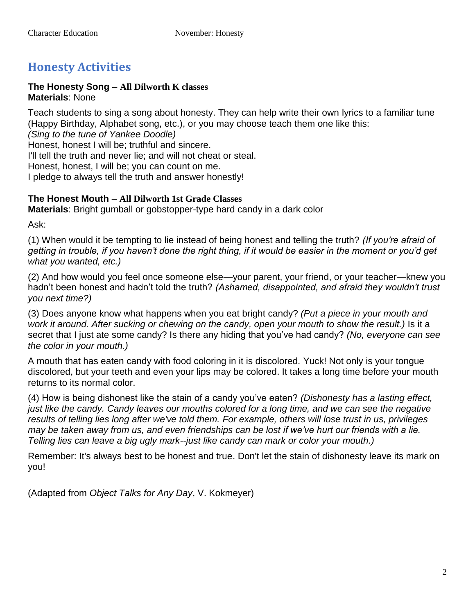# **Honesty Activities**

#### **The Honesty Song** – **All Dilworth K classes Materials**: None

Teach students to sing a song about honesty. They can help write their own lyrics to a familiar tune (Happy Birthday, Alphabet song, etc.), or you may choose teach them one like this: *(Sing to the tune of Yankee Doodle)*  Honest, honest I will be; truthful and sincere. I'll tell the truth and never lie; and will not cheat or steal. Honest, honest, I will be; you can count on me. I pledge to always tell the truth and answer honestly!

#### **The Honest Mouth** – **All Dilworth 1st Grade Classes**

**Materials**: Bright gumball or gobstopper-type hard candy in a dark color

Ask:

(1) When would it be tempting to lie instead of being honest and telling the truth? *(If you're afraid of getting in trouble, if you haven't done the right thing, if it would be easier in the moment or you'd get what you wanted, etc.)*

(2) And how would you feel once someone else—your parent, your friend, or your teacher—knew you hadn't been honest and hadn't told the truth? *(Ashamed, disappointed, and afraid they wouldn't trust you next time?)*

(3) Does anyone know what happens when you eat bright candy? *(Put a piece in your mouth and work it around. After sucking or chewing on the candy, open your mouth to show the result.)* Is it a secret that I just ate some candy? Is there any hiding that you've had candy? *(No, everyone can see the color in your mouth.)*

A mouth that has eaten candy with food coloring in it is discolored. Yuck! Not only is your tongue discolored, but your teeth and even your lips may be colored. It takes a long time before your mouth returns to its normal color.

(4) How is being dishonest like the stain of a candy you've eaten? *(Dishonesty has a lasting effect, just like the candy. Candy leaves our mouths colored for a long time, and we can see the negative results of telling lies long after we've told them. For example, others will lose trust in us, privileges may be taken away from us, and even friendships can be lost if we've hurt our friends with a lie. Telling lies can leave a big ugly mark--just like candy can mark or color your mouth.)*

Remember: It's always best to be honest and true. Don't let the stain of dishonesty leave its mark on you!

(Adapted from *Object Talks for Any Day*, V. Kokmeyer)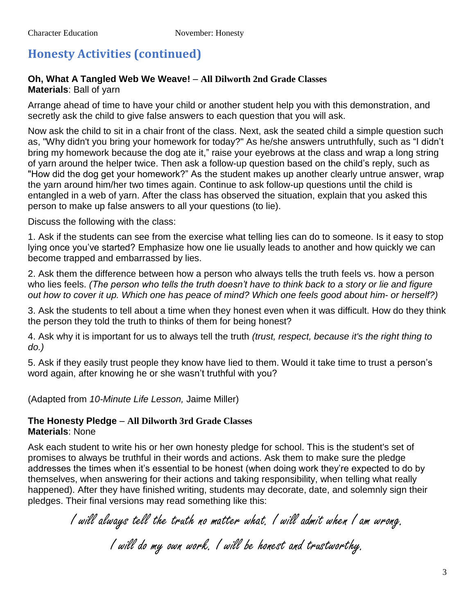# **Honesty Activities (continued)**

#### **Oh, What A Tangled Web We Weave!** – **All Dilworth 2nd Grade Classes Materials**: Ball of yarn

Arrange ahead of time to have your child or another student help you with this demonstration, and secretly ask the child to give false answers to each question that you will ask.

Now ask the child to sit in a chair front of the class. Next, ask the seated child a simple question such as, "Why didn't you bring your homework for today?" As he/she answers untruthfully, such as "I didn't bring my homework because the dog ate it," raise your eyebrows at the class and wrap a long string of yarn around the helper twice. Then ask a follow-up question based on the child's reply, such as "How did the dog get your homework?" As the student makes up another clearly untrue answer, wrap the yarn around him/her two times again. Continue to ask follow-up questions until the child is entangled in a web of yarn. After the class has observed the situation, explain that you asked this person to make up false answers to all your questions (to lie).

Discuss the following with the class:

1. Ask if the students can see from the exercise what telling lies can do to someone. Is it easy to stop lying once you've started? Emphasize how one lie usually leads to another and how quickly we can become trapped and embarrassed by lies.

2. Ask them the difference between how a person who always tells the truth feels vs. how a person who lies feels. *(The person who tells the truth doesn't have to think back to a story or lie and figure out how to cover it up. Which one has peace of mind? Which one feels good about him- or herself?)* 

3. Ask the students to tell about a time when they honest even when it was difficult. How do they think the person they told the truth to thinks of them for being honest?

4. Ask why it is important for us to always tell the truth *(trust, respect, because it's the right thing to do.)* 

5. Ask if they easily trust people they know have lied to them. Would it take time to trust a person's word again, after knowing he or she wasn't truthful with you?

(Adapted from *10-Minute Life Lesson,* Jaime Miller)

#### **The Honesty Pledge** – **All Dilworth 3rd Grade Classes Materials**: None

Ask each student to write his or her own honesty pledge for school. This is the student's set of promises to always be truthful in their words and actions. Ask them to make sure the pledge addresses the times when it's essential to be honest (when doing work they're expected to do by themselves, when answering for their actions and taking responsibility, when telling what really happened). After they have finished writing, students may decorate, date, and solemnly sign their pledges. Their final versions may read something like this:

> I will always tell the truth no matter what. I will admit when I am wrong. I will do my own work. I will be honest and trustworthy.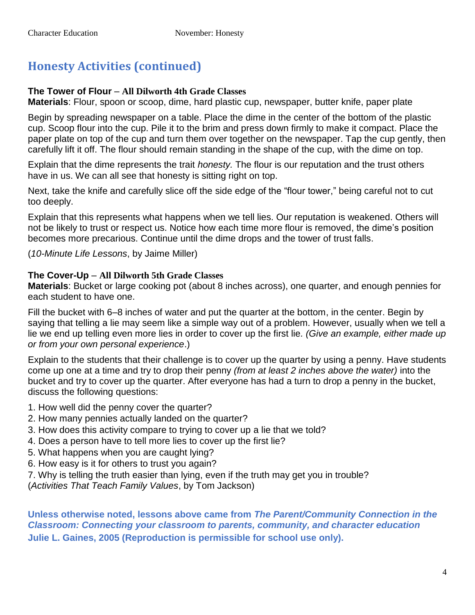# **Honesty Activities (continued)**

#### **The Tower of Flour** – **All Dilworth 4th Grade Classes**

**Materials**: Flour, spoon or scoop, dime, hard plastic cup, newspaper, butter knife, paper plate

Begin by spreading newspaper on a table. Place the dime in the center of the bottom of the plastic cup. Scoop flour into the cup. Pile it to the brim and press down firmly to make it compact. Place the paper plate on top of the cup and turn them over together on the newspaper. Tap the cup gently, then carefully lift it off. The flour should remain standing in the shape of the cup, with the dime on top.

Explain that the dime represents the trait *honesty.* The flour is our reputation and the trust others have in us. We can all see that honesty is sitting right on top.

Next, take the knife and carefully slice off the side edge of the "flour tower," being careful not to cut too deeply.

Explain that this represents what happens when we tell lies. Our reputation is weakened. Others will not be likely to trust or respect us. Notice how each time more flour is removed, the dime's position becomes more precarious. Continue until the dime drops and the tower of trust falls.

(*10-Minute Life Lessons*, by Jaime Miller)

#### **The Cover-Up** – **All Dilworth 5th Grade Classes**

**Materials**: Bucket or large cooking pot (about 8 inches across), one quarter, and enough pennies for each student to have one.

Fill the bucket with 6–8 inches of water and put the quarter at the bottom, in the center. Begin by saying that telling a lie may seem like a simple way out of a problem. However, usually when we tell a lie we end up telling even more lies in order to cover up the first lie*. (Give an example, either made up or from your own personal experience*.)

Explain to the students that their challenge is to cover up the quarter by using a penny. Have students come up one at a time and try to drop their penny *(from at least 2 inches above the water)* into the bucket and try to cover up the quarter. After everyone has had a turn to drop a penny in the bucket, discuss the following questions:

- 1. How well did the penny cover the quarter?
- 2. How many pennies actually landed on the quarter?
- 3. How does this activity compare to trying to cover up a lie that we told?
- 4. Does a person have to tell more lies to cover up the first lie?
- 5. What happens when you are caught lying?
- 6. How easy is it for others to trust you again?
- 7. Why is telling the truth easier than lying, even if the truth may get you in trouble?

(*Activities That Teach Family Values*, by Tom Jackson)

**Unless otherwise noted, lessons above came from** *The Parent/Community Connection in the Classroom: Connecting your classroom to parents, community, and character education* **Julie L. Gaines, 2005 (Reproduction is permissible for school use only).**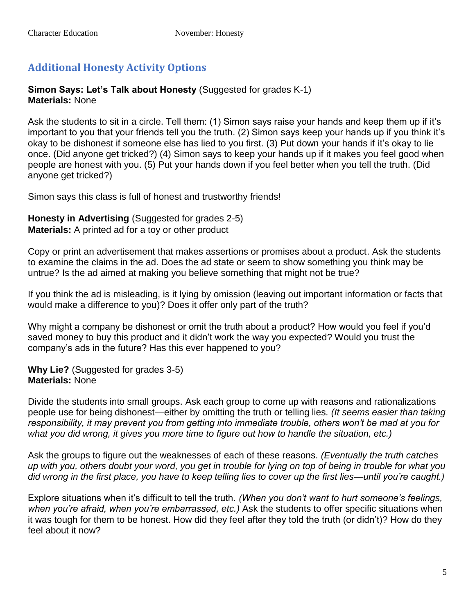### **Additional Honesty Activity Options**

#### **Simon Says: Let's Talk about Honesty** (Suggested for grades K-1) **Materials:** None

Ask the students to sit in a circle. Tell them: (1) Simon says raise your hands and keep them up if it's important to you that your friends tell you the truth. (2) Simon says keep your hands up if you think it's okay to be dishonest if someone else has lied to you first. (3) Put down your hands if it's okay to lie once. (Did anyone get tricked?) (4) Simon says to keep your hands up if it makes you feel good when people are honest with you. (5) Put your hands down if you feel better when you tell the truth. (Did anyone get tricked?)

Simon says this class is full of honest and trustworthy friends!

**Honesty in Advertising** (Suggested for grades 2-5) **Materials:** A printed ad for a toy or other product

Copy or print an advertisement that makes assertions or promises about a product. Ask the students to examine the claims in the ad. Does the ad state or seem to show something you think may be untrue? Is the ad aimed at making you believe something that might not be true?

If you think the ad is misleading, is it lying by omission (leaving out important information or facts that would make a difference to you)? Does it offer only part of the truth?

Why might a company be dishonest or omit the truth about a product? How would you feel if you'd saved money to buy this product and it didn't work the way you expected? Would you trust the company's ads in the future? Has this ever happened to you?

**Why Lie?** (Suggested for grades 3-5) **Materials:** None

Divide the students into small groups. Ask each group to come up with reasons and rationalizations people use for being dishonest—either by omitting the truth or telling lies*. (It seems easier than taking responsibility, it may prevent you from getting into immediate trouble, others won't be mad at you for what you did wrong, it gives you more time to figure out how to handle the situation, etc.)*

Ask the groups to figure out the weaknesses of each of these reasons. *(Eventually the truth catches up with you, others doubt your word, you get in trouble for lying on top of being in trouble for what you did wrong in the first place, you have to keep telling lies to cover up the first lies—until you're caught.)*

Explore situations when it's difficult to tell the truth. *(When you don't want to hurt someone's feelings,*  when you're afraid, when you're embarrassed, etc.) Ask the students to offer specific situations when it was tough for them to be honest. How did they feel after they told the truth (or didn't)? How do they feel about it now?